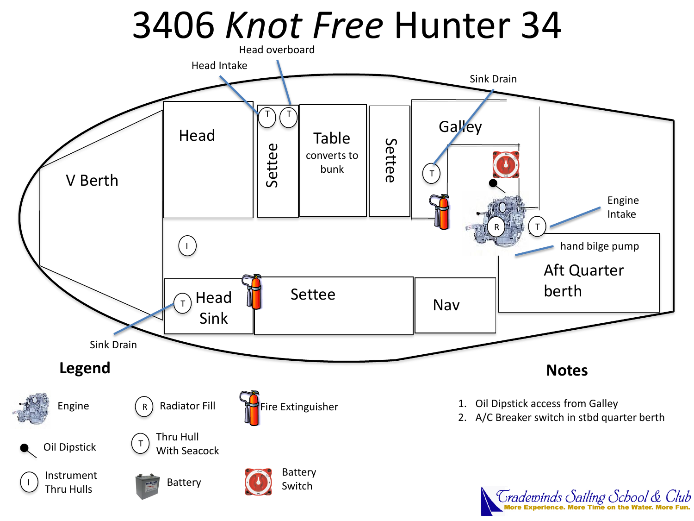# 3406 *Knot Free* Hunter 34

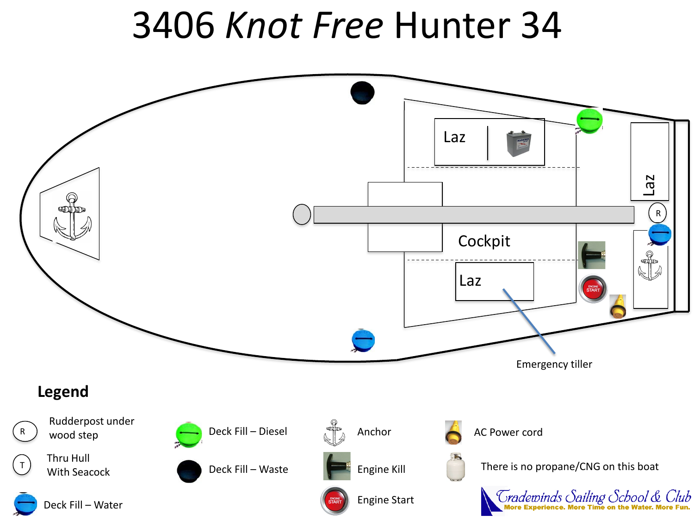## 3406 *Knot Free* Hunter 34

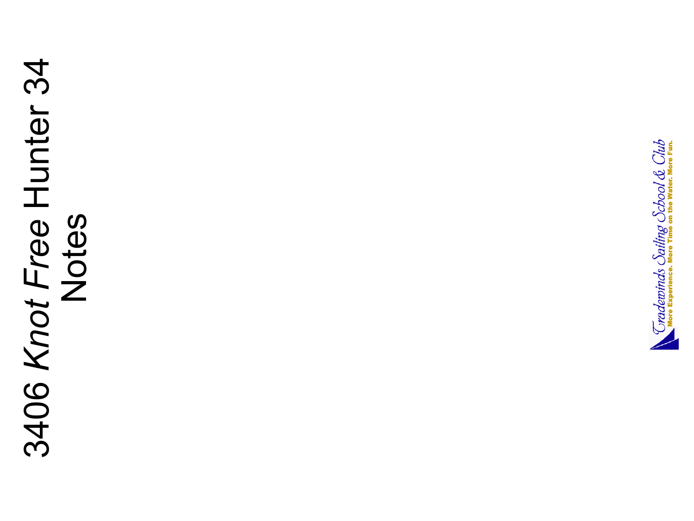# 3406 *Knot Free* Hunter 34 3406 Knot Free Hunter 34

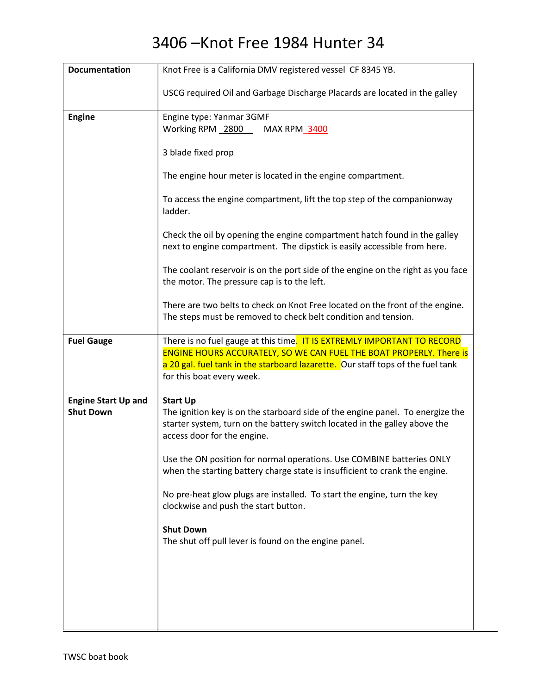| <b>Documentation</b>       | Knot Free is a California DMV registered vessel CF 8345 YB.                                                                                                                                                                                                           |
|----------------------------|-----------------------------------------------------------------------------------------------------------------------------------------------------------------------------------------------------------------------------------------------------------------------|
|                            | USCG required Oil and Garbage Discharge Placards are located in the galley                                                                                                                                                                                            |
| <b>Engine</b>              | Engine type: Yanmar 3GMF                                                                                                                                                                                                                                              |
|                            | Working RPM 2800 MAX RPM 3400                                                                                                                                                                                                                                         |
|                            | 3 blade fixed prop                                                                                                                                                                                                                                                    |
|                            | The engine hour meter is located in the engine compartment.                                                                                                                                                                                                           |
|                            | To access the engine compartment, lift the top step of the companionway<br>ladder.                                                                                                                                                                                    |
|                            | Check the oil by opening the engine compartment hatch found in the galley<br>next to engine compartment. The dipstick is easily accessible from here.                                                                                                                 |
|                            | The coolant reservoir is on the port side of the engine on the right as you face<br>the motor. The pressure cap is to the left.                                                                                                                                       |
|                            | There are two belts to check on Knot Free located on the front of the engine.<br>The steps must be removed to check belt condition and tension.                                                                                                                       |
| <b>Fuel Gauge</b>          | There is no fuel gauge at this time. IT IS EXTREMLY IMPORTANT TO RECORD<br><b>ENGINE HOURS ACCURATELY, SO WE CAN FUEL THE BOAT PROPERLY. There is</b><br>a 20 gal. fuel tank in the starboard lazarette. Our staff tops of the fuel tank<br>for this boat every week. |
|                            |                                                                                                                                                                                                                                                                       |
| <b>Engine Start Up and</b> | <b>Start Up</b>                                                                                                                                                                                                                                                       |
| <b>Shut Down</b>           | The ignition key is on the starboard side of the engine panel. To energize the<br>starter system, turn on the battery switch located in the galley above the<br>access door for the engine.                                                                           |
|                            | Use the ON position for normal operations. Use COMBINE batteries ONLY<br>when the starting battery charge state is insufficient to crank the engine.                                                                                                                  |
|                            | No pre-heat glow plugs are installed. To start the engine, turn the key<br>clockwise and push the start button.                                                                                                                                                       |
|                            | <b>Shut Down</b><br>The shut off pull lever is found on the engine panel.                                                                                                                                                                                             |
|                            |                                                                                                                                                                                                                                                                       |
|                            |                                                                                                                                                                                                                                                                       |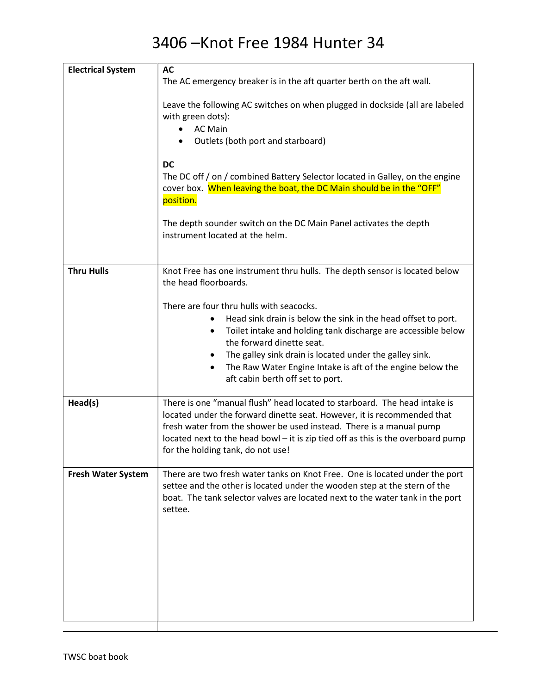| <b>Electrical System</b>  | <b>AC</b>                                                                                                                                                                                                                                                                                                                                                            |
|---------------------------|----------------------------------------------------------------------------------------------------------------------------------------------------------------------------------------------------------------------------------------------------------------------------------------------------------------------------------------------------------------------|
|                           | The AC emergency breaker is in the aft quarter berth on the aft wall.                                                                                                                                                                                                                                                                                                |
|                           | Leave the following AC switches on when plugged in dockside (all are labeled<br>with green dots):<br>• AC Main<br>Outlets (both port and starboard)                                                                                                                                                                                                                  |
|                           |                                                                                                                                                                                                                                                                                                                                                                      |
|                           | <b>DC</b><br>The DC off / on / combined Battery Selector located in Galley, on the engine<br>cover box. When leaving the boat, the DC Main should be in the "OFF"<br>position.                                                                                                                                                                                       |
|                           | The depth sounder switch on the DC Main Panel activates the depth<br>instrument located at the helm.                                                                                                                                                                                                                                                                 |
| <b>Thru Hulls</b>         | Knot Free has one instrument thru hulls. The depth sensor is located below<br>the head floorboards.                                                                                                                                                                                                                                                                  |
|                           | There are four thru hulls with seacocks.<br>Head sink drain is below the sink in the head offset to port.<br>Toilet intake and holding tank discharge are accessible below<br>the forward dinette seat.<br>The galley sink drain is located under the galley sink.<br>The Raw Water Engine Intake is aft of the engine below the<br>aft cabin berth off set to port. |
| Head(s)                   | There is one "manual flush" head located to starboard. The head intake is<br>located under the forward dinette seat. However, it is recommended that<br>fresh water from the shower be used instead. There is a manual pump<br>located next to the head bowl - it is zip tied off as this is the overboard pump<br>for the holding tank, do not use!                 |
| <b>Fresh Water System</b> | There are two fresh water tanks on Knot Free. One is located under the port<br>settee and the other is located under the wooden step at the stern of the<br>boat. The tank selector valves are located next to the water tank in the port<br>settee.                                                                                                                 |